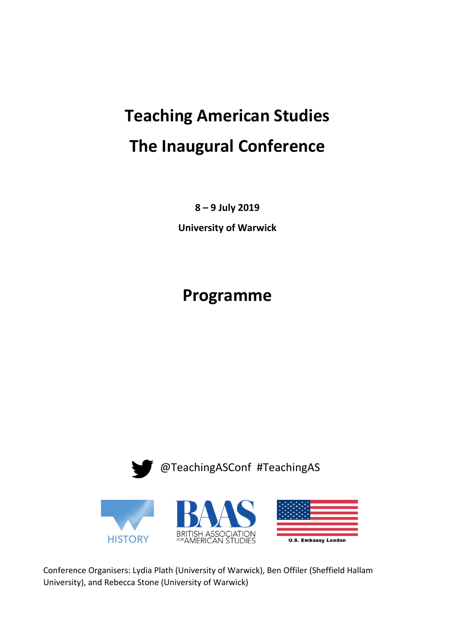# **Teaching American Studies The Inaugural Conference**

**8 – 9 July 2019** 

**University of Warwick** 

## **Programme**



Conference Organisers: Lydia Plath (University of Warwick), Ben Offiler (Sheffield Hallam University), and Rebecca Stone (University of Warwick)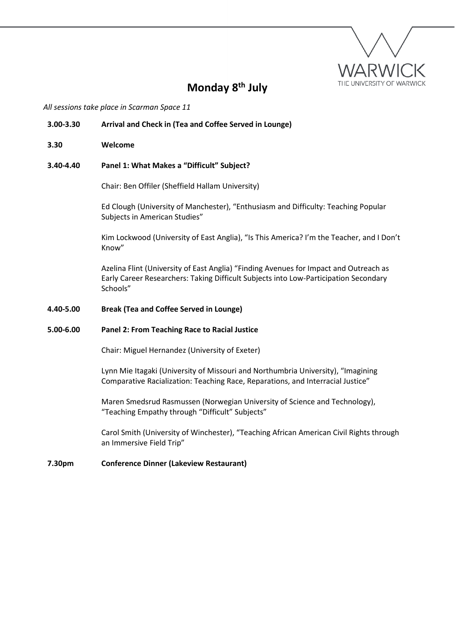

### **Monday 8th July**

*All sessions take place in Scarman Space 11* 

### **3.00-3.30 Arrival and Check in (Tea and Coffee Served in Lounge)**

**3.30 Welcome**

### **3.40-4.40 Panel 1: What Makes a "Difficult" Subject?**

Chair: Ben Offiler (Sheffield Hallam University)

Ed Clough (University of Manchester), "Enthusiasm and Difficulty: Teaching Popular Subjects in American Studies"

Kim Lockwood (University of East Anglia), "Is This America? I'm the Teacher, and I Don't Know"

Azelina Flint (University of East Anglia) "Finding Avenues for Impact and Outreach as Early Career Researchers: Taking Difficult Subjects into Low-Participation Secondary Schools"

### **4.40-5.00 Break (Tea and Coffee Served in Lounge)**

#### **5.00-6.00 Panel 2: From Teaching Race to Racial Justice**

Chair: Miguel Hernandez (University of Exeter)

Lynn Mie Itagaki (University of Missouri and Northumbria University), "Imagining Comparative Racialization: Teaching Race, Reparations, and Interracial Justice"

Maren Smedsrud Rasmussen (Norwegian University of Science and Technology), "Teaching Empathy through "Difficult" Subjects"

Carol Smith (University of Winchester), "Teaching African American Civil Rights through an Immersive Field Trip"

#### **7.30pm Conference Dinner (Lakeview Restaurant)**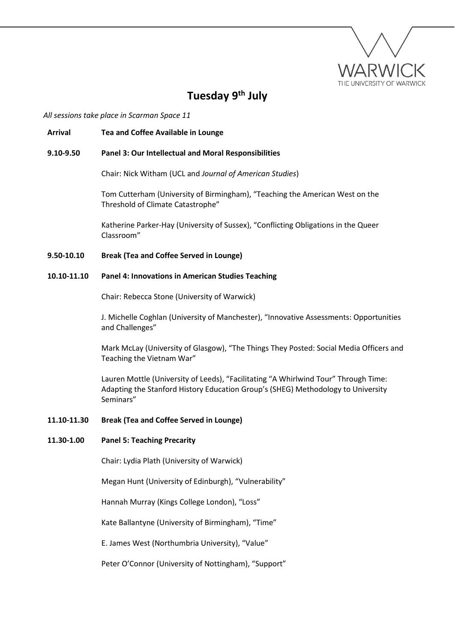

### **Tuesday 9th July**

*All sessions take place in Scarman Space 11* 

### **Arrival Tea and Coffee Available in Lounge**

### **9.10-9.50 Panel 3: Our Intellectual and Moral Responsibilities**

Chair: Nick Witham (UCL and *Journal of American Studies*)

Tom Cutterham (University of Birmingham), "Teaching the American West on the Threshold of Climate Catastrophe"

Katherine Parker-Hay (University of Sussex), "Conflicting Obligations in the Queer Classroom"

**9.50-10.10 Break (Tea and Coffee Served in Lounge)** 

### **10.10-11.10 Panel 4: Innovations in American Studies Teaching**

Chair: Rebecca Stone (University of Warwick)

J. Michelle Coghlan (University of Manchester), "Innovative Assessments: Opportunities and Challenges"

Mark McLay (University of Glasgow), "The Things They Posted: Social Media Officers and Teaching the Vietnam War"

Lauren Mottle (University of Leeds), "Facilitating "A Whirlwind Tour" Through Time: Adapting the Stanford History Education Group's (SHEG) Methodology to University Seminars"

### **11.10-11.30 Break (Tea and Coffee Served in Lounge)**

### **11.30-1.00 Panel 5: Teaching Precarity**

Chair: Lydia Plath (University of Warwick)

Megan Hunt (University of Edinburgh), "Vulnerability"

Hannah Murray (Kings College London), "Loss"

Kate Ballantyne (University of Birmingham), "Time"

E. James West (Northumbria University), "Value"

Peter O'Connor (University of Nottingham), "Support"